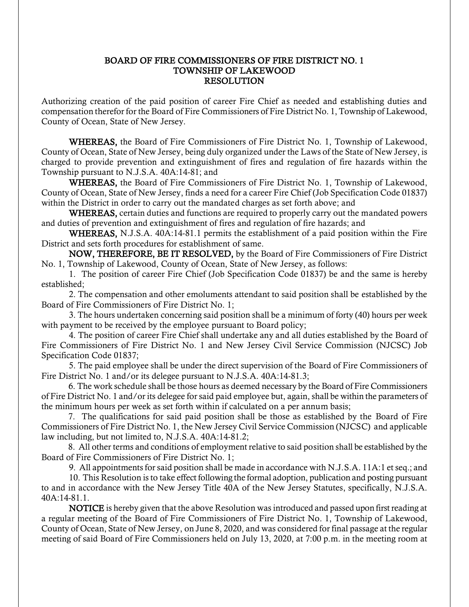## BOARD OF FIRE COMMISSIONERS OF FIRE DISTRICT NO. 1 TOWNSHIP OF LAKEWOOD RESOLUTION

Authorizing creation of the paid position of career Fire Chief as needed and establishing duties and compensation therefor for the Board of Fire Commissioners of Fire District No. 1, Township of Lakewood, County of Ocean, State of New Jersey.

WHEREAS, the Board of Fire Commissioners of Fire District No. 1, Township of Lakewood, County of Ocean, State of New Jersey, being duly organized under the Laws of the State of New Jersey, is charged to provide prevention and extinguishment of fires and regulation of fire hazards within the Township pursuant to N.J.S.A. 40A:14-81; and

WHEREAS, the Board of Fire Commissioners of Fire District No. 1, Township of Lakewood, County of Ocean, State of New Jersey, finds a need for a career Fire Chief (Job Specification Code 01837) within the District in order to carry out the mandated charges as set forth above; and

WHEREAS, certain duties and functions are required to properly carry out the mandated powers and duties of prevention and extinguishment of fires and regulation of fire hazards; and

WHEREAS, N.J.S.A. 40A:14-81.1 permits the establishment of a paid position within the Fire District and sets forth procedures for establishment of same.

NOW, THEREFORE, BE IT RESOLVED, by the Board of Fire Commissioners of Fire District No. 1, Township of Lakewood, County of Ocean, State of New Jersey, as follows:

1. The position of career Fire Chief (Job Specification Code 01837) be and the same is hereby established;

2. The compensation and other emoluments attendant to said position shall be established by the Board of Fire Commissioners of Fire District No. 1;

3. The hours undertaken concerning said position shall be a minimum of forty (40) hours per week with payment to be received by the employee pursuant to Board policy;

4. The position of career Fire Chief shall undertake any and all duties established by the Board of Fire Commissioners of Fire District No. 1 and New Jersey Civil Service Commission (NJCSC) Job Specification Code 01837;

5. The paid employee shall be under the direct supervision of the Board of Fire Commissioners of Fire District No. 1 and/or its delegee pursuant to N.J.S.A. 40A:14-81.3;

 6. The work schedule shall be those hours as deemed necessary by the Board of Fire Commissioners of Fire District No. 1 and/or its delegee for said paid employee but, again, shall be within the parameters of the minimum hours per week as set forth within if calculated on a per annum basis;

 7. The qualifications for said paid position shall be those as established by the Board of Fire Commissioners of Fire District No. 1, the New Jersey Civil Service Commission (NJCSC) and applicable law including, but not limited to, N.J.S.A. 40A:14-81.2;

 8. All other terms and conditions of employment relative to said position shall be established by the Board of Fire Commissioners of Fire District No. 1;

9. All appointments for said position shall be made in accordance with N.J.S.A. 11A:1 et seq.; and

10. This Resolution is to take effect following the formal adoption, publication and posting pursuant to and in accordance with the New Jersey Title 40A of the New Jersey Statutes, specifically, N.J.S.A. 40A:14-81.1.

NOTICE is hereby given that the above Resolution was introduced and passed upon first reading at a regular meeting of the Board of Fire Commissioners of Fire District No. 1, Township of Lakewood, County of Ocean, State of New Jersey, on June 8, 2020, and was considered for final passage at the regular meeting of said Board of Fire Commissioners held on July 13, 2020, at 7:00 p.m. in the meeting room at